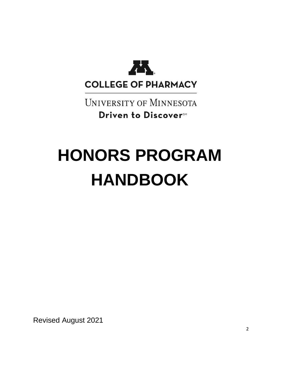

**UNIVERSITY OF MINNESOTA** Driven to Discover<sup>SM</sup>

# **HONORS PROGRAM HANDBOOK**

Revised August 2021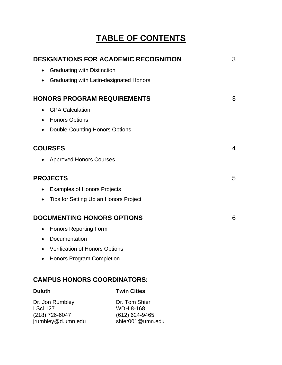## **TABLE OF CONTENTS**

| <b>DESIGNATIONS FOR ACADEMIC RECOGNITION</b> |                                         | 3 |
|----------------------------------------------|-----------------------------------------|---|
| $\bullet$                                    | <b>Graduating with Distinction</b>      |   |
| $\bullet$                                    | Graduating with Latin-designated Honors |   |
| <b>HONORS PROGRAM REQUIREMENTS</b>           |                                         | 3 |
| $\bullet$                                    | <b>GPA Calculation</b>                  |   |
| ٠                                            | <b>Honors Options</b>                   |   |
| $\bullet$                                    | <b>Double-Counting Honors Options</b>   |   |
|                                              | <b>COURSES</b>                          | 4 |
| $\bullet$                                    | <b>Approved Honors Courses</b>          |   |
| <b>PROJECTS</b>                              |                                         | 5 |
| $\bullet$                                    | <b>Examples of Honors Projects</b>      |   |
| $\bullet$                                    | Tips for Setting Up an Honors Project   |   |
|                                              | <b>DOCUMENTING HONORS OPTIONS</b>       | 6 |
| $\bullet$                                    | <b>Honors Reporting Form</b>            |   |
| $\bullet$                                    | Documentation                           |   |
| $\bullet$                                    | <b>Verification of Honors Options</b>   |   |
|                                              | <b>Honors Program Completion</b>        |   |
|                                              | <b>CAMPUS HONORS COORDINATORS:</b>      |   |
| <b>Duluth</b>                                | <b>Twin Cities</b>                      |   |

Dr. Jon Rumbley **Dr. Tom Shier** LSci 127 WDH 8-168 (218) 726-6047 (612) 624-9465 jrumbley@d.umn.edu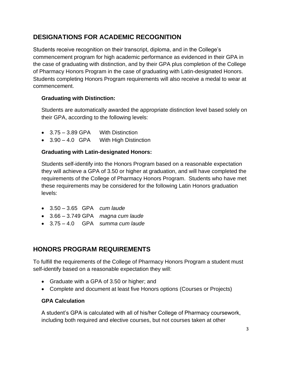## **DESIGNATIONS FOR ACADEMIC RECOGNITION**

Students receive recognition on their transcript, diploma, and in the College's commencement program for high academic performance as evidenced in their GPA in the case of graduating with distinction, and by their GPA plus completion of the College of Pharmacy Honors Program in the case of graduating with Latin-designated Honors. Students completing Honors Program requirements will also receive a medal to wear at commencement.

#### **Graduating with Distinction:**

Students are automatically awarded the appropriate distinction level based solely on their GPA, according to the following levels:

- 3.75 3.89 GPA With Distinction
- 3.90 4.0 GPA With High Distinction

#### **Graduating with Latin-designated Honors:**

Students self-identify into the Honors Program based on a reasonable expectation they will achieve a GPA of 3.50 or higher at graduation, and will have completed the requirements of the College of Pharmacy Honors Program. Students who have met these requirements may be considered for the following Latin Honors graduation levels:

- 3.50 3.65 GPA *cum laude*
- 3.66 3.749 GPA *magna cum laude*
- 3.75 4.0 GPA *summa cum laude*

## **HONORS PROGRAM REQUIREMENTS**

To fulfill the requirements of the College of Pharmacy Honors Program a student must self-identify based on a reasonable expectation they will:

- Graduate with a GPA of 3.50 or higher; and
- Complete and document at least five Honors options (Courses or Projects)

#### **GPA Calculation**

A student's GPA is calculated with all of his/her College of Pharmacy coursework, including both required and elective courses, but not courses taken at other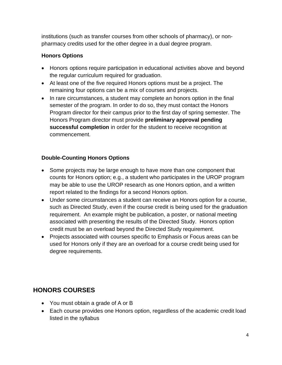institutions (such as transfer courses from other schools of pharmacy), or nonpharmacy credits used for the other degree in a dual degree program.

## **Honors Options**

- Honors options require participation in educational activities above and beyond the regular curriculum required for graduation.
- At least one of the five required Honors options must be a project. The remaining four options can be a mix of courses and projects.
- In rare circumstances, a student may complete an honors option in the final semester of the program. In order to do so, they must contact the Honors Program director for their campus prior to the first day of spring semester. The Honors Program director must provide **preliminary approval pending successful completion** in order for the student to receive recognition at commencement.

## **Double-Counting Honors Options**

- Some projects may be large enough to have more than one component that counts for Honors option; e.g., a student who participates in the UROP program may be able to use the UROP research as one Honors option, and a written report related to the findings for a second Honors option.
- Under some circumstances a student can receive an Honors option for a course, such as Directed Study, even if the course credit is being used for the graduation requirement. An example might be publication, a poster, or national meeting associated with presenting the results of the Directed Study. Honors option credit must be an overload beyond the Directed Study requirement.
- Projects associated with courses specific to Emphasis or Focus areas can be used for Honors only if they are an overload for a course credit being used for degree requirements.

## **HONORS COURSES**

- You must obtain a grade of A or B
- Each course provides one Honors option, regardless of the academic credit load listed in the syllabus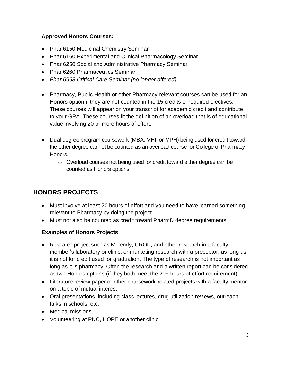#### **Approved Honors Courses:**

- Phar 6150 Medicinal Chemistry Seminar
- Phar 6160 Experimental and Clinical Pharmacology Seminar
- Phar 6250 Social and Administrative Pharmacy Seminar
- Phar 6260 Pharmaceutics Seminar
- *Phar 6968 Critical Care Seminar (no longer offered)*
- Pharmacy, Public Health or other Pharmacy-relevant courses can be used for an Honors option if they are not counted in the 15 credits of required electives. These courses will appear on your transcript for academic credit and contribute to your GPA. These courses fit the definition of an overload that is of educational value involving 20 or more hours of effort.
- Dual degree program coursework (MBA, MHI, or MPH) being used for credit toward the other degree cannot be counted as an overload course for College of Pharmacy Honors.
	- o Overload courses not being used for credit toward either degree can be counted as Honors options.

## **HONORS PROJECTS**

- Must involve at least 20 hours of effort and you need to have learned something relevant to Pharmacy by doing the project
- Must not also be counted as credit toward PharmD degree requirements

## **Examples of Honors Projects**:

- Research project such as Melendy, UROP, and other research in a faculty member's laboratory or clinic, or marketing research with a preceptor, as long as it is not for credit used for graduation. The type of research is not important as long as it is pharmacy. Often the research and a written report can be considered as two Honors options (if they both meet the 20+ hours of effort requirement).
- Literature review paper or other coursework-related projects with a faculty mentor on a topic of mutual interest
- Oral presentations, including class lectures, drug utilization reviews, outreach talks in schools, etc.
- Medical missions
- Volunteering at PNC, HOPE or another clinic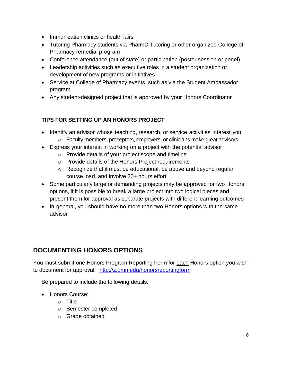- Immunization clinics or health fairs
- Tutoring Pharmacy students via PharmD Tutoring or other organized College of Pharmacy remedial program
- Conference attendance (out of state) or participation (poster session or panel)
- Leadership activities such as executive roles in a student organization or development of new programs or initiatives
- Service at College of Pharmacy events, such as via the Student Ambassador program
- Any student-designed project that is approved by your Honors Coordinator

## **TIPS FOR SETTING UP AN HONORS PROJECT**

- Identify an advisor whose teaching, research, or service activities interest you
	- o Faculty members, preceptors, employers, or clinicians make great advisors
- Express your interest in working on a project with the potential advisor
	- o Provide details of your project scope and timeline
	- o Provide details of the Honors Project requirements
	- $\circ$  Recognize that it must be educational, be above and beyond regular course load, and involve 20+ hours effort
- Some particularly large or demanding projects may be approved for two Honors options, if it is possible to break a large project into two logical pieces and present them for approval as separate projects with different learning outcomes
- In general, you should have no more than two Honors options with the same advisor

## **DOCUMENTING HONORS OPTIONS**

You must submit one Honors Program Reporting Form for each Honors option you wish to document for approval: <http://z.umn.edu/honorsreportingform>

Be prepared to include the following details:

- Honors Course:
	- o Title
	- o Semester completed
	- o Grade obtained